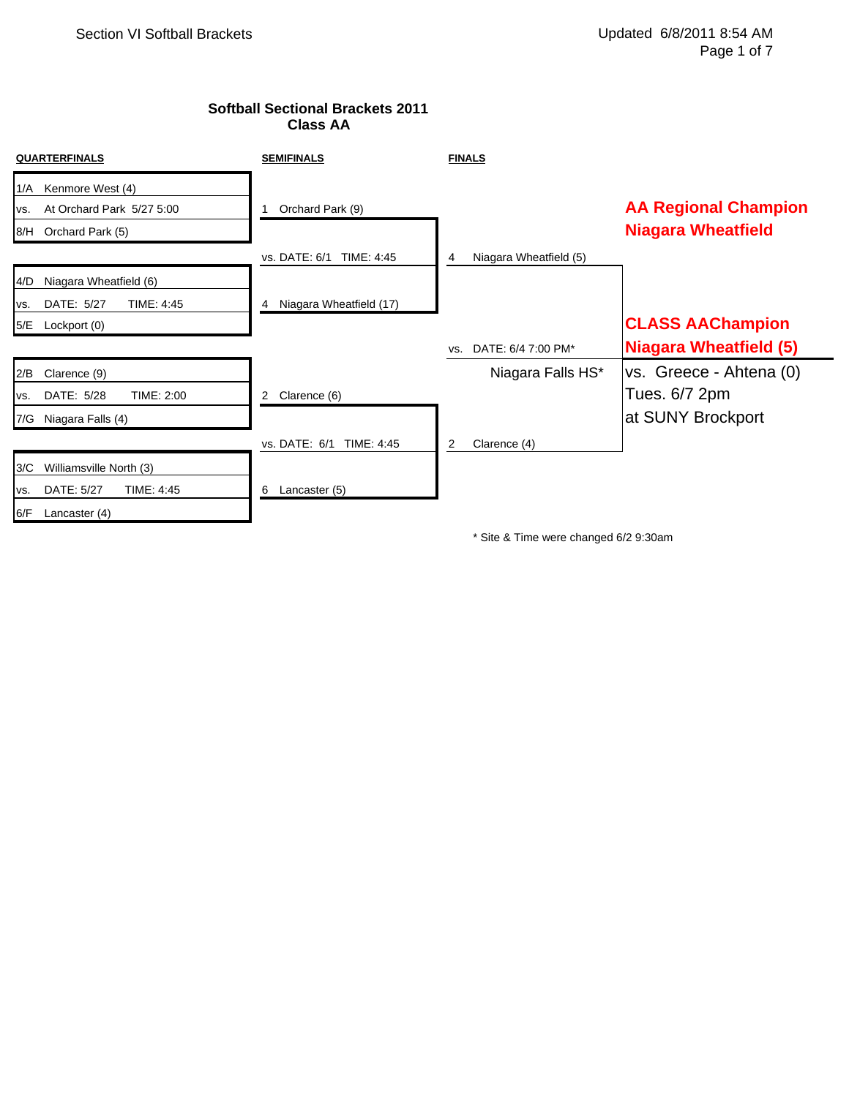# **Softball Sectional Brackets 2011 Class AA**

| <b>QUARTERFINALS</b>                                        | <b>SEMIFINALS</b>            | <b>FINALS</b>               |                               |
|-------------------------------------------------------------|------------------------------|-----------------------------|-------------------------------|
| Kenmore West (4)<br>1/A<br>At Orchard Park 5/27 5:00<br>VS. | Orchard Park (9)             |                             | <b>AA Regional Champion</b>   |
| 8/H Orchard Park (5)                                        |                              |                             | <b>Niagara Wheatfield</b>     |
|                                                             | vs. DATE: 6/1 TIME: 4:45     | Niagara Wheatfield (5)<br>4 |                               |
| Niagara Wheatfield (6)<br>4/D                               |                              |                             |                               |
| DATE: 5/27<br>TIME: 4:45<br>VS.                             | Niagara Wheatfield (17)<br>4 |                             |                               |
| 5/E<br>Lockport (0)                                         |                              |                             | <b>CLASS AAChampion</b>       |
|                                                             |                              | DATE: 6/4 7:00 PM*<br>VS.   | <b>Niagara Wheatfield (5)</b> |
| 2/B<br>Clarence (9)                                         |                              | Niagara Falls HS*           | vs. Greece - Ahtena (0)       |
| TIME: 2:00<br>DATE: 5/28<br>VS.                             | Clarence (6)<br>2            |                             | Tues. 6/7 2pm                 |
| Niagara Falls (4)<br>7/G                                    |                              |                             | at SUNY Brockport             |
|                                                             | vs. DATE: 6/1<br>TIME: 4:45  | 2<br>Clarence (4)           |                               |
| 3/C<br>Williamsville North (3)                              |                              |                             |                               |
| DATE: 5/27<br>TIME: 4:45<br>VS.                             | Lancaster (5)<br>6           |                             |                               |
| 6/F<br>Lancaster (4)                                        |                              |                             |                               |

\* Site & Time were changed 6/2 9:30am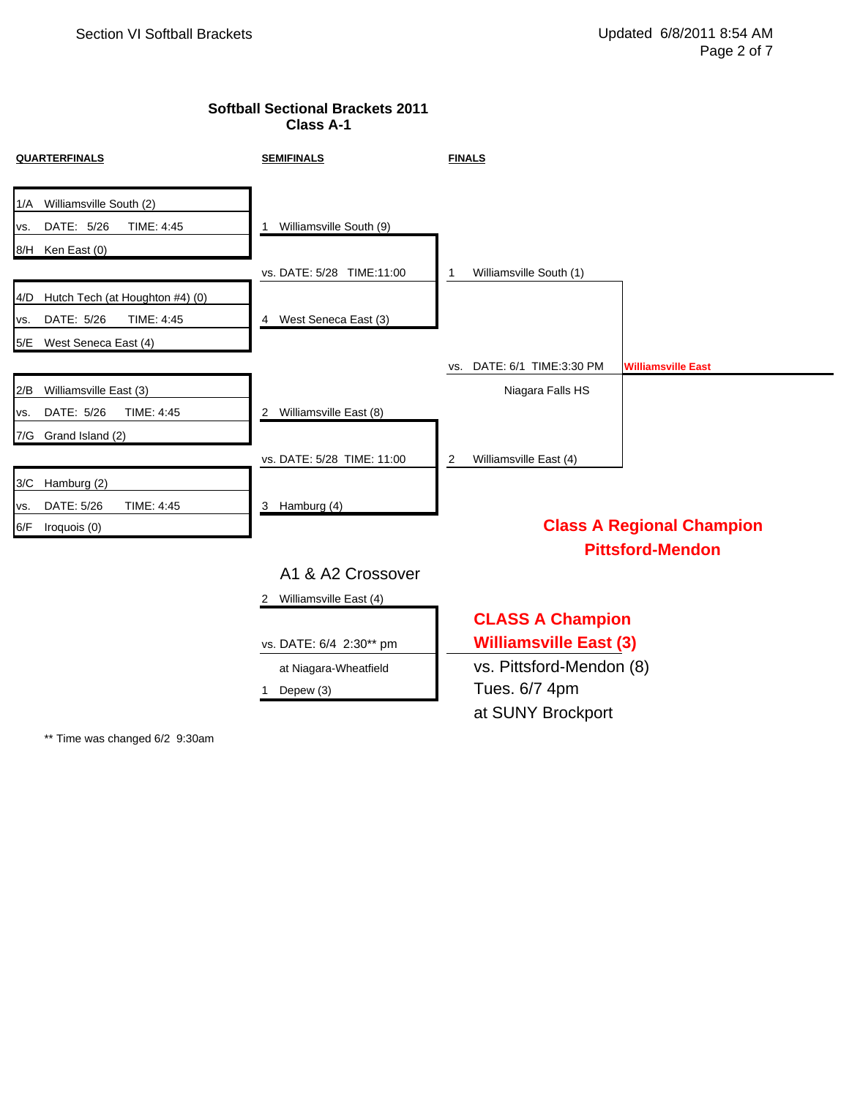## **Softball Sectional Brackets 2011 Class A-1**

| <b>QUARTERFINALS</b>                   | <b>SEMIFINALS</b>          | <b>FINALS</b>                 |                                  |
|----------------------------------------|----------------------------|-------------------------------|----------------------------------|
| Williamsville South (2)<br>1/A         |                            |                               |                                  |
| DATE: 5/26<br>TIME: 4:45<br>VS.        | Williamsville South (9)    |                               |                                  |
| 8/H Ken East (0)                       |                            |                               |                                  |
|                                        | vs. DATE: 5/28 TIME:11:00  | Williamsville South (1)       |                                  |
| Hutch Tech (at Houghton #4) (0)<br>4/D |                            |                               |                                  |
| DATE: 5/26<br>TIME: 4:45<br>VS.        | 4 West Seneca East (3)     |                               |                                  |
| West Seneca East (4)<br>5/E            |                            |                               |                                  |
|                                        |                            | DATE: 6/1 TIME:3:30 PM<br>VS. | <b>Williamsville East</b>        |
| Williamsville East (3)<br>2/B          |                            | Niagara Falls HS              |                                  |
| DATE: 5/26<br>TIME: 4:45<br>VS.        | 2 Williamsville East (8)   |                               |                                  |
| 7/G Grand Island (2)                   |                            |                               |                                  |
|                                        | vs. DATE: 5/28 TIME: 11:00 | Williamsville East (4)<br>2   |                                  |
| Hamburg (2)<br>3/C                     |                            |                               |                                  |
| DATE: 5/26<br>TIME: 4:45<br>VS.        | 3 Hamburg (4)              |                               |                                  |
| 6/F<br>Iroquois (0)                    |                            |                               | <b>Class A Regional Champion</b> |
|                                        |                            |                               | <b>Pittsford-Mendon</b>          |
|                                        | A1 & A2 Crossover          |                               |                                  |
|                                        | 2 Williamsville East (4)   |                               |                                  |
|                                        |                            | <b>CLASS A Champion</b>       |                                  |
|                                        | vs. DATE: 6/4 2:30** pm    | <b>Williamsville East (3)</b> |                                  |
|                                        | at Niagara-Wheatfield      | vs. Pittsford-Mendon (8)      |                                  |
|                                        | Depew (3)                  | Tues. 6/7 4pm                 |                                  |
|                                        |                            | at SUNY Brockport             |                                  |
|                                        |                            |                               |                                  |

\*\* Time was changed 6/2 9:30am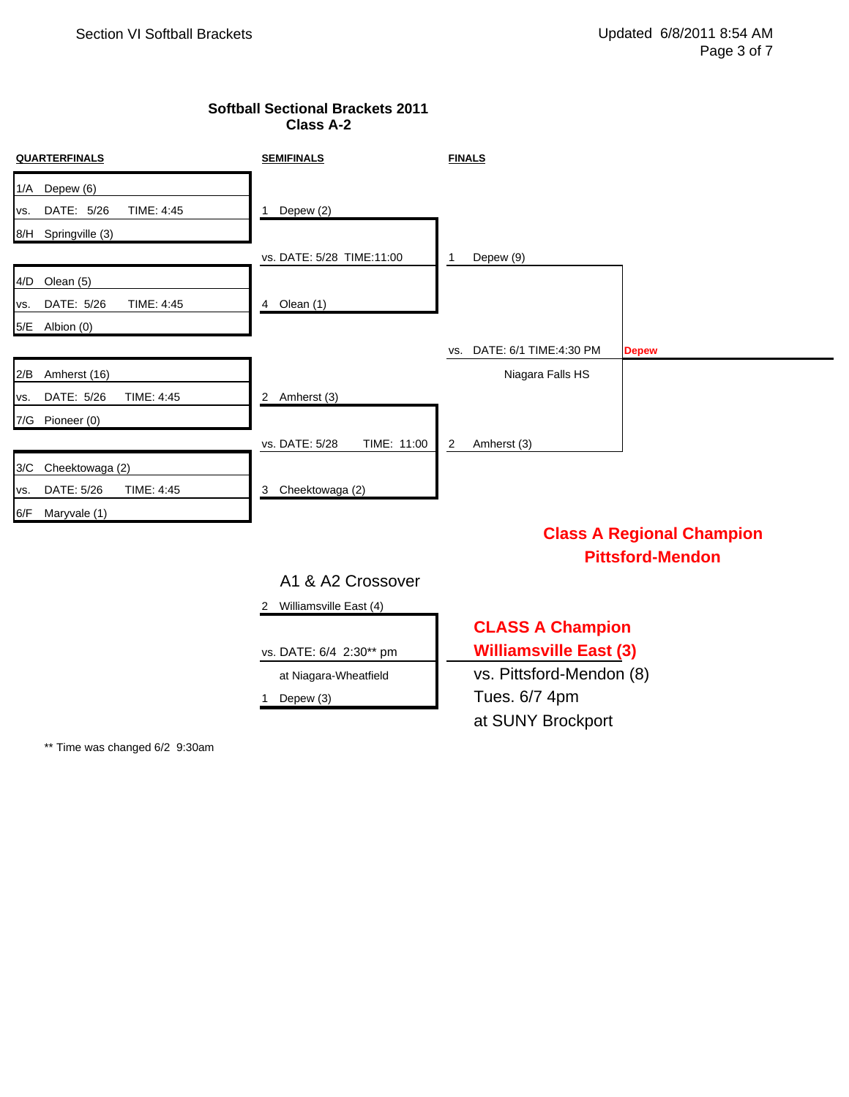## **Softball Sectional Brackets 2011 Class A-2**

| <b>QUARTERFINALS</b>                             | <b>SEMIFINALS</b>             | <b>FINALS</b>                                 |
|--------------------------------------------------|-------------------------------|-----------------------------------------------|
| 1/A Depew (6)<br>DATE: 5/26<br>TIME: 4:45<br>VS. | Depew (2)<br>1                |                                               |
| 8/H Springville (3)                              |                               |                                               |
|                                                  | vs. DATE: 5/28 TIME:11:00     | Depew (9)<br>1                                |
| 4/D Olean (5)                                    |                               |                                               |
| DATE: 5/26<br>TIME: 4:45<br>VS.                  | Olean (1)<br>4                |                                               |
| 5/E Albion (0)                                   |                               |                                               |
|                                                  |                               | DATE: 6/1 TIME:4:30 PM<br><b>Depew</b><br>VS. |
| 2/B Amherst (16)                                 |                               | Niagara Falls HS                              |
| DATE: 5/26<br>TIME: 4:45<br>VS.                  | 2 Amherst (3)                 |                                               |
| 7/G Pioneer (0)                                  |                               |                                               |
|                                                  | vs. DATE: 5/28<br>TIME: 11:00 | Amherst (3)<br>2                              |
| 3/C Cheektowaga (2)                              |                               |                                               |
| DATE: 5/26<br>TIME: 4:45<br>VS.                  | Cheektowaga (2)<br>3          |                                               |
| 6/F Maryvale (1)                                 |                               |                                               |
|                                                  |                               | <b>Class A Regional Champion</b>              |
|                                                  |                               | <b>Pittsford-Mendon</b>                       |
|                                                  | A1 & A2 Crossover             |                                               |
|                                                  | Williamsville East (4)<br>2   |                                               |
|                                                  |                               | <b>CLASS A Champion</b>                       |
|                                                  | vs. DATE: 6/4 2:30** pm       | <b>Williamsville East (3)</b>                 |

at Niagara-Wheatfield vs. Pittsford-Mendon (8) 1 Depew (3) Tues. 6/7 4pm at SUNY Brockport

\*\* Time was changed 6/2 9:30am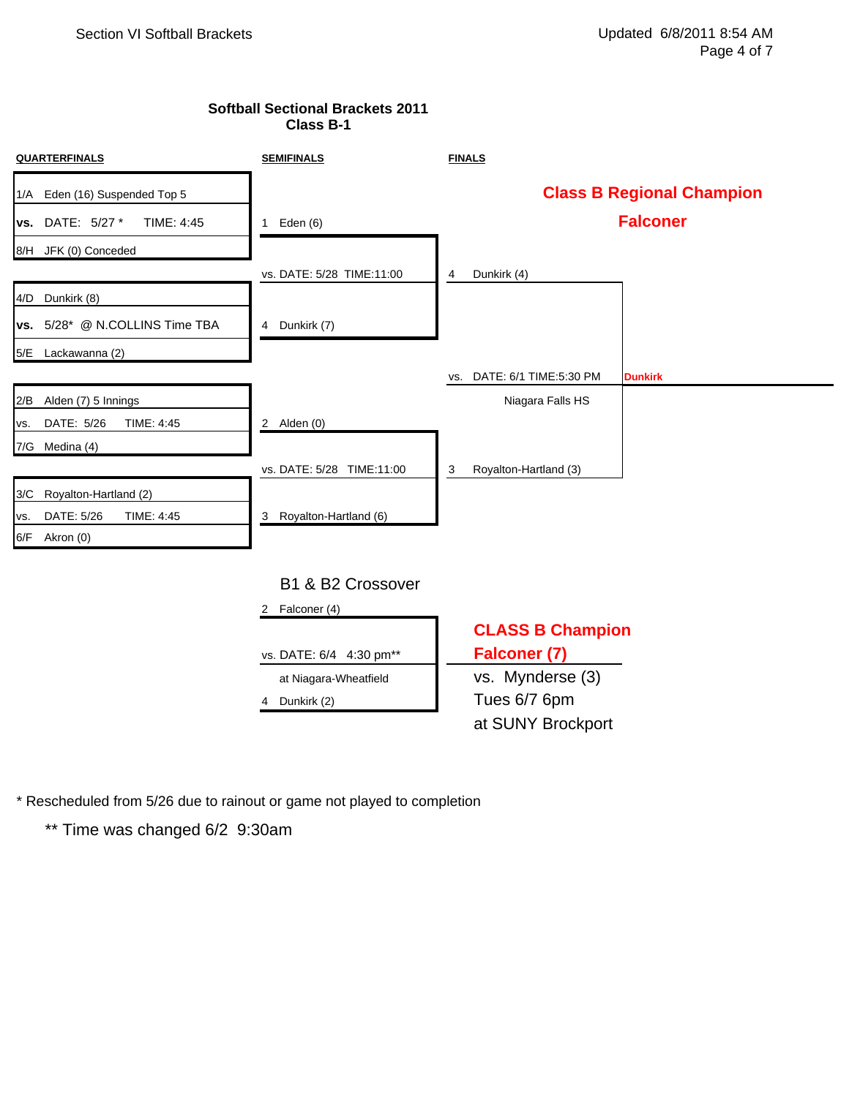#### **Softball Sectional Brackets 2011 Class B-1**

| <b>QUARTERFINALS</b>            | <b>SEMIFINALS</b>         | <b>FINALS</b>                 |                                  |
|---------------------------------|---------------------------|-------------------------------|----------------------------------|
| 1/A Eden (16) Suspended Top 5   |                           |                               | <b>Class B Regional Champion</b> |
| vs. DATE: 5/27 *<br>TIME: 4:45  | 1 Eden $(6)$              |                               | <b>Falconer</b>                  |
| 8/H JFK (0) Conceded            |                           |                               |                                  |
|                                 | vs. DATE: 5/28 TIME:11:00 | Dunkirk (4)<br>4              |                                  |
| 4/D Dunkirk (8)                 |                           |                               |                                  |
| vs. 5/28* @ N.COLLINS Time TBA  | 4 Dunkirk (7)             |                               |                                  |
| 5/E Lackawanna (2)              |                           |                               |                                  |
|                                 |                           | DATE: 6/1 TIME:5:30 PM<br>VS. | <b>Dunkirk</b>                   |
| Alden (7) 5 Innings<br>2/B      |                           | Niagara Falls HS              |                                  |
| DATE: 5/26<br>TIME: 4:45<br>VS. | 2 Alden $(0)$             |                               |                                  |
| 7/G Medina (4)                  |                           |                               |                                  |
|                                 | vs. DATE: 5/28 TIME:11:00 | Royalton-Hartland (3)<br>3    |                                  |
| Royalton-Hartland (2)<br>3/C    |                           |                               |                                  |
| DATE: 5/26<br>TIME: 4:45<br>VS. | 3 Royalton-Hartland (6)   |                               |                                  |
| 6/F Akron (0)                   |                           |                               |                                  |
|                                 |                           |                               |                                  |
|                                 | B1 & B2 Crossover         |                               |                                  |
|                                 | Falconer (4)<br>2         |                               |                                  |
|                                 |                           | <b>CLASS B Champion</b>       |                                  |
|                                 | vs. DATE: 6/4 4:30 pm**   | Falconer (7)                  |                                  |
|                                 | at Niagara-Wheatfield     | vs. Mynderse (3)              |                                  |
|                                 | Dunkirk (2)<br>4          | Tues 6/7 6pm                  |                                  |
|                                 |                           | at SUNY Brockport             |                                  |

\* Rescheduled from 5/26 due to rainout or game not played to completion

\*\* Time was changed 6/2 9:30am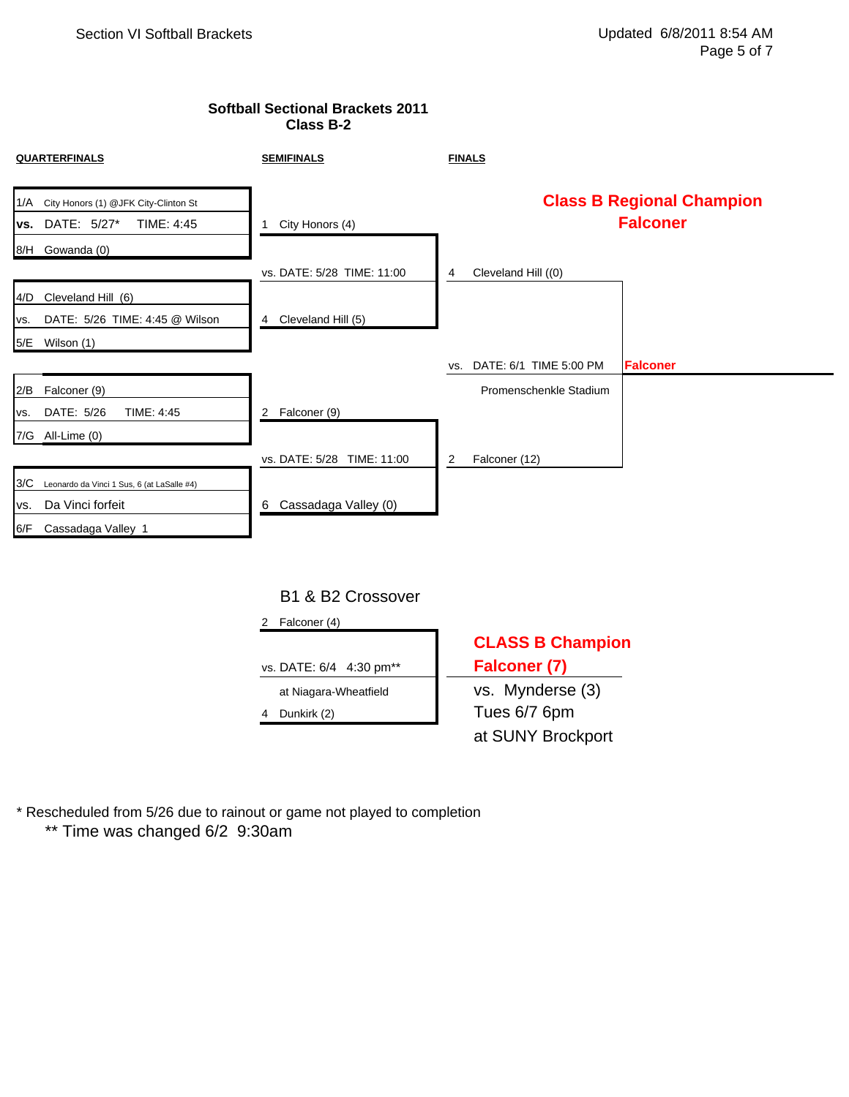#### **Softball Sectional Brackets 2011 Class B-2**

| <b>QUARTERFINALS</b>                                                            | <b>SEMIFINALS</b>              | <b>FINALS</b>                 |                                                     |
|---------------------------------------------------------------------------------|--------------------------------|-------------------------------|-----------------------------------------------------|
| City Honors (1) @JFK City-Clinton St<br>1/A<br>DATE: 5/27*<br>TIME: 4:45<br>VS. | City Honors (4)<br>1           |                               | <b>Class B Regional Champion</b><br><b>Falconer</b> |
| 8/H Gowanda (0)                                                                 | vs. DATE: 5/28 TIME: 11:00     | Cleveland Hill ((0)<br>4      |                                                     |
| Cleveland Hill (6)<br>4/D                                                       |                                |                               |                                                     |
| DATE: 5/26 TIME: 4:45 @ Wilson<br>VS.                                           | Cleveland Hill (5)<br>4        |                               |                                                     |
| 5/E<br>Wilson (1)                                                               |                                |                               |                                                     |
|                                                                                 |                                | DATE: 6/1 TIME 5:00 PM<br>VS. | <b>Falconer</b>                                     |
| Falconer (9)<br>2/B                                                             |                                | Promenschenkle Stadium        |                                                     |
| DATE: 5/26<br>TIME: 4:45<br>VS.                                                 | Falconer (9)<br>$\overline{2}$ |                               |                                                     |
| 7/G All-Lime (0)                                                                |                                |                               |                                                     |
|                                                                                 | vs. DATE: 5/28 TIME: 11:00     | Falconer (12)<br>2            |                                                     |
| 3/C<br>Leonardo da Vinci 1 Sus, 6 (at LaSalle #4)                               |                                |                               |                                                     |
| Da Vinci forfeit<br>VS.                                                         | Cassadaga Valley (0)<br>6      |                               |                                                     |
| Cassadaga Valley 1<br>6/F                                                       |                                |                               |                                                     |

# B1 & B2 Crossover

| Falconer (4)            |                         |  |
|-------------------------|-------------------------|--|
|                         | <b>CLASS B Champion</b> |  |
| vs. DATE: 6/4 4:30 pm** | <b>Falconer (7)</b>     |  |
| at Niagara-Wheatfield   | vs. Mynderse (3)        |  |
| Dunkirk (2)             | Tues 6/7 6pm            |  |
|                         | at SUNY Brockport       |  |

\*\* Time was changed 6/2 9:30am \* Rescheduled from 5/26 due to rainout or game not played to completion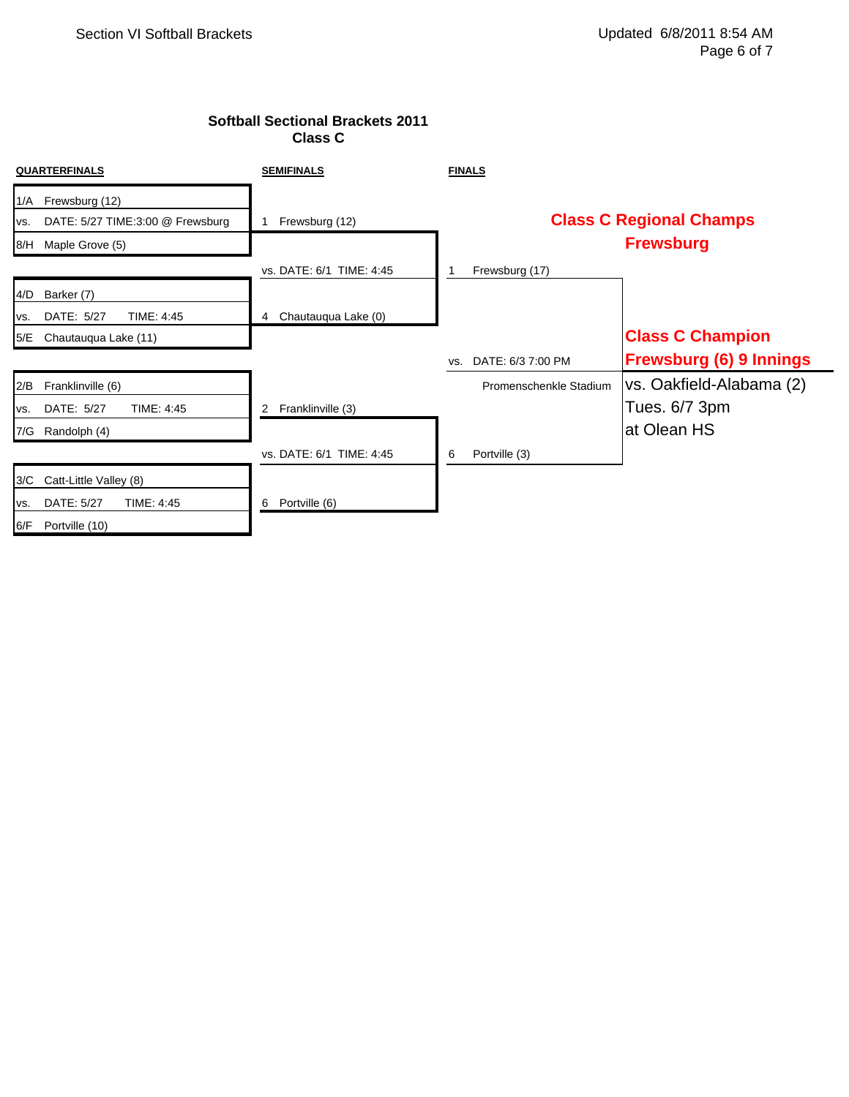# **Softball Sectional Brackets 2011 Class C**